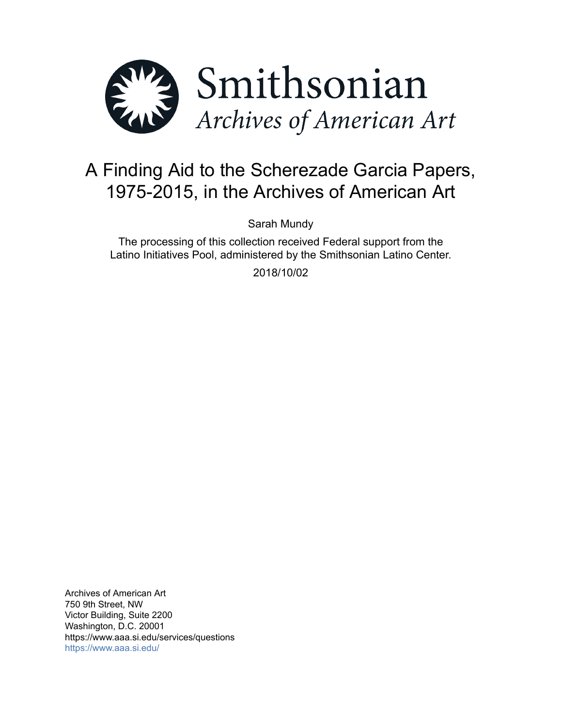

# A Finding Aid to the Scherezade Garcia Papers, 1975-2015, in the Archives of American Art

Sarah Mundy

The processing of this collection received Federal support from the Latino Initiatives Pool, administered by the Smithsonian Latino Center.

2018/10/02

Archives of American Art 750 9th Street, NW Victor Building, Suite 2200 Washington, D.C. 20001 https://www.aaa.si.edu/services/questions <https://www.aaa.si.edu/>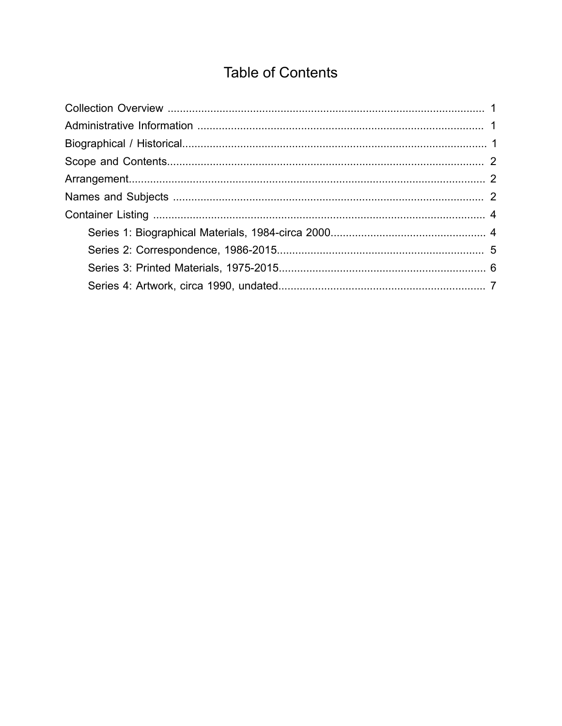# **Table of Contents**

<span id="page-1-0"></span>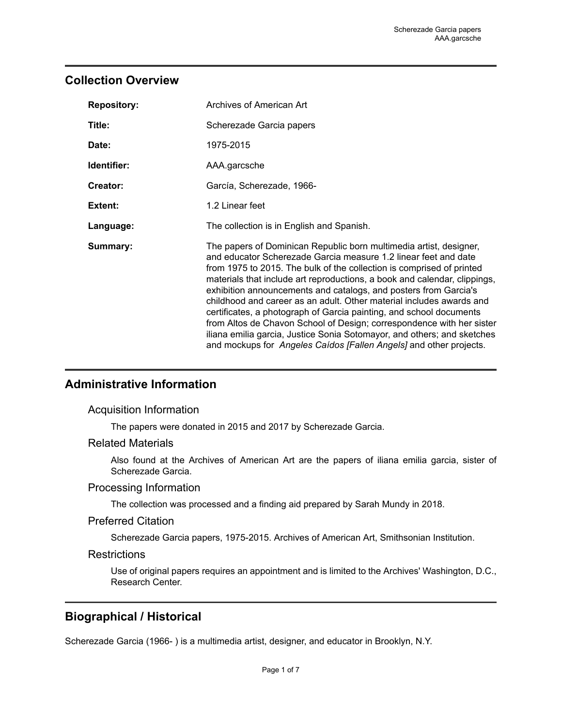## <span id="page-2-0"></span>**Collection Overview**

| <b>Repository:</b> | Archives of American Art                                                                                                                                                                                                                                                                                                                                                                                                                                                                                                                                                                                                                                                                                                                 |  |  |
|--------------------|------------------------------------------------------------------------------------------------------------------------------------------------------------------------------------------------------------------------------------------------------------------------------------------------------------------------------------------------------------------------------------------------------------------------------------------------------------------------------------------------------------------------------------------------------------------------------------------------------------------------------------------------------------------------------------------------------------------------------------------|--|--|
| Title:             | Scherezade Garcia papers                                                                                                                                                                                                                                                                                                                                                                                                                                                                                                                                                                                                                                                                                                                 |  |  |
| Date:              | 1975-2015                                                                                                                                                                                                                                                                                                                                                                                                                                                                                                                                                                                                                                                                                                                                |  |  |
| Identifier:        | AAA.garcsche                                                                                                                                                                                                                                                                                                                                                                                                                                                                                                                                                                                                                                                                                                                             |  |  |
| Creator:           | García, Scherezade, 1966-                                                                                                                                                                                                                                                                                                                                                                                                                                                                                                                                                                                                                                                                                                                |  |  |
| Extent:            | 1.2 Linear feet                                                                                                                                                                                                                                                                                                                                                                                                                                                                                                                                                                                                                                                                                                                          |  |  |
| Language:          | The collection is in English and Spanish.                                                                                                                                                                                                                                                                                                                                                                                                                                                                                                                                                                                                                                                                                                |  |  |
| Summary:           | The papers of Dominican Republic born multimedia artist, designer,<br>and educator Scherezade Garcia measure 1.2 linear feet and date<br>from 1975 to 2015. The bulk of the collection is comprised of printed<br>materials that include art reproductions, a book and calendar, clippings,<br>exhibition announcements and catalogs, and posters from Garcia's<br>childhood and career as an adult. Other material includes awards and<br>certificates, a photograph of Garcia painting, and school documents<br>from Altos de Chavon School of Design; correspondence with her sister<br>iliana emilia garcia, Justice Sonia Sotomayor, and others; and sketches<br>and mockups for Angeles Caídos [Fallen Angels] and other projects. |  |  |

# <span id="page-2-1"></span>**Administrative Information**

### Acquisition Information

The papers were donated in 2015 and 2017 by Scherezade Garcia.

## Related Materials

Also found at the Archives of American Art are the papers of iliana emilia garcia, sister of Scherezade Garcia.

### Processing Information

The collection was processed and a finding aid prepared by Sarah Mundy in 2018.

### Preferred Citation

Scherezade Garcia papers, 1975-2015. Archives of American Art, Smithsonian Institution.

### **Restrictions**

Use of original papers requires an appointment and is limited to the Archives' Washington, D.C., Research Center.

# <span id="page-2-2"></span>**Biographical / Historical**

Scherezade Garcia (1966- ) is a multimedia artist, designer, and educator in Brooklyn, N.Y.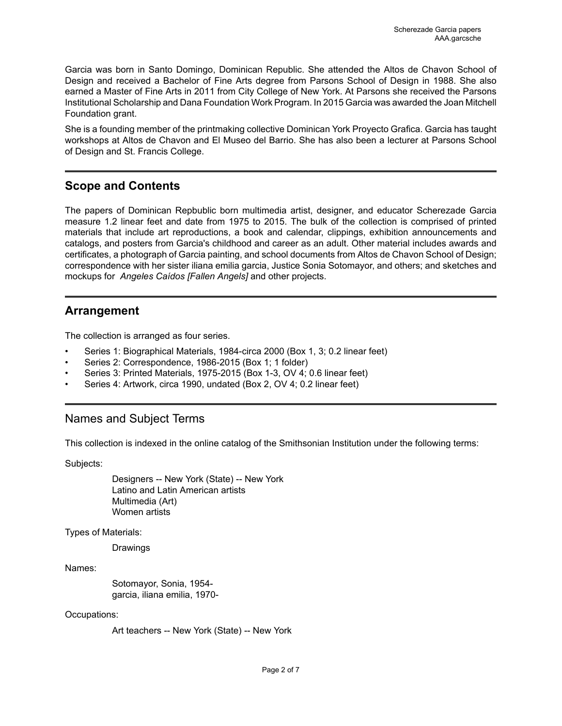Garcia was born in Santo Domingo, Dominican Republic. She attended the Altos de Chavon School of Design and received a Bachelor of Fine Arts degree from Parsons School of Design in 1988. She also earned a Master of Fine Arts in 2011 from City College of New York. At Parsons she received the Parsons Institutional Scholarship and Dana Foundation Work Program. In 2015 Garcia was awarded the Joan Mitchell Foundation grant.

She is a founding member of the printmaking collective Dominican York Proyecto Grafica. Garcia has taught workshops at Altos de Chavon and El Museo del Barrio. She has also been a lecturer at Parsons School of Design and St. Francis College.

# <span id="page-3-0"></span>**Scope and Contents**

The papers of Dominican Repbublic born multimedia artist, designer, and educator Scherezade Garcia measure 1.2 linear feet and date from 1975 to 2015. The bulk of the collection is comprised of printed materials that include art reproductions, a book and calendar, clippings, exhibition announcements and catalogs, and posters from Garcia's childhood and career as an adult. Other material includes awards and certificates, a photograph of Garcia painting, and school documents from Altos de Chavon School of Design; correspondence with her sister iliana emilia garcia, Justice Sonia Sotomayor, and others; and sketches and mockups for *Angeles Caídos [Fallen Angels]* and other projects.

## <span id="page-3-1"></span>**Arrangement**

The collection is arranged as four series.

- Series 1: Biographical Materials, 1984-circa 2000 (Box 1, 3; 0.2 linear feet)
- Series 2: Correspondence, 1986-2015 (Box 1; 1 folder)
- Series 3: Printed Materials, 1975-2015 (Box 1-3, OV 4; 0.6 linear feet)
- Series 4: Artwork, circa 1990, undated (Box 2, OV 4; 0.2 linear feet)

# <span id="page-3-2"></span>Names and Subject Terms

This collection is indexed in the online catalog of the Smithsonian Institution under the following terms:

Subjects:

Designers -- New York (State) -- New York Latino and Latin American artists Multimedia (Art) Women artists

Types of Materials:

Drawings

Names:

Sotomayor, Sonia, 1954 garcia, iliana emilia, 1970-

#### Occupations:

Art teachers -- New York (State) -- New York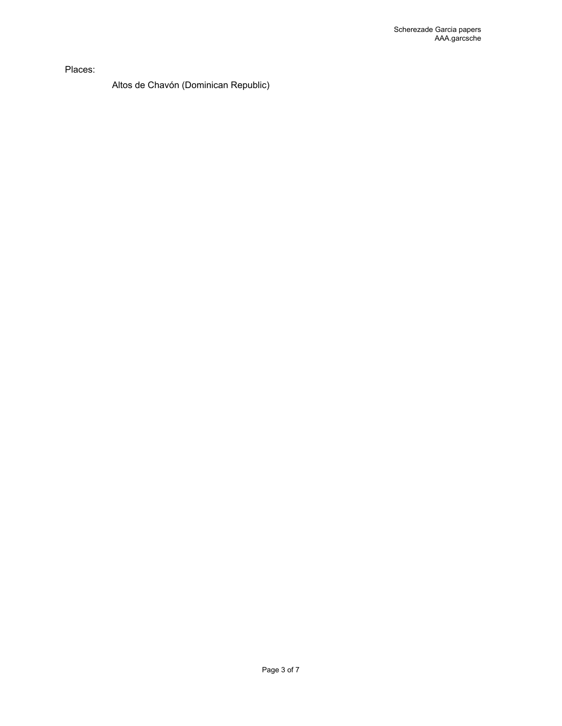Places:

Altos de Chavón (Dominican Republic)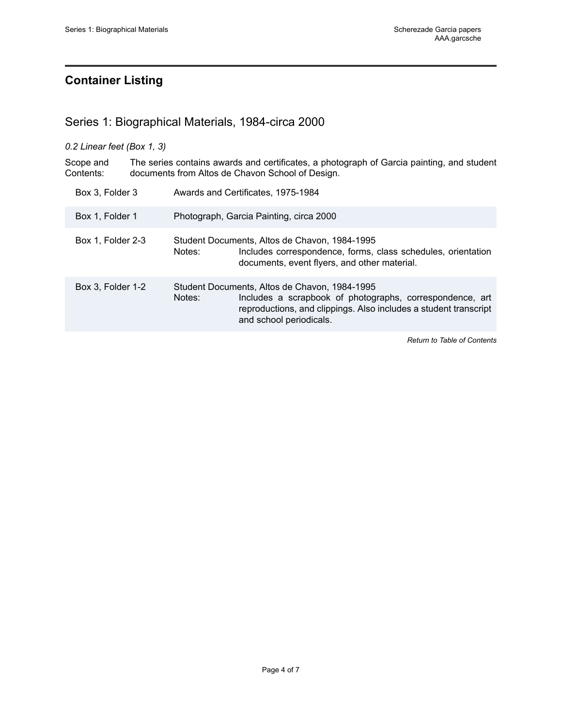# <span id="page-5-0"></span>**Container Listing**

## <span id="page-5-1"></span>Series 1: Biographical Materials, 1984-circa 2000

*0.2 Linear feet (Box 1, 3)*

Scope and Contents: The series contains awards and certificates, a photograph of Garcia painting, and student documents from Altos de Chavon School of Design.

| Box 3, Folder 3   | Awards and Certificates, 1975-1984                                                                                                                                                                                 |
|-------------------|--------------------------------------------------------------------------------------------------------------------------------------------------------------------------------------------------------------------|
| Box 1, Folder 1   | Photograph, Garcia Painting, circa 2000                                                                                                                                                                            |
| Box 1, Folder 2-3 | Student Documents, Altos de Chavon, 1984-1995<br>Includes correspondence, forms, class schedules, orientation<br>Notes:<br>documents, event flyers, and other material.                                            |
| Box 3, Folder 1-2 | Student Documents, Altos de Chavon, 1984-1995<br>Includes a scrapbook of photographs, correspondence, art<br>Notes:<br>reproductions, and clippings. Also includes a student transcript<br>and school periodicals. |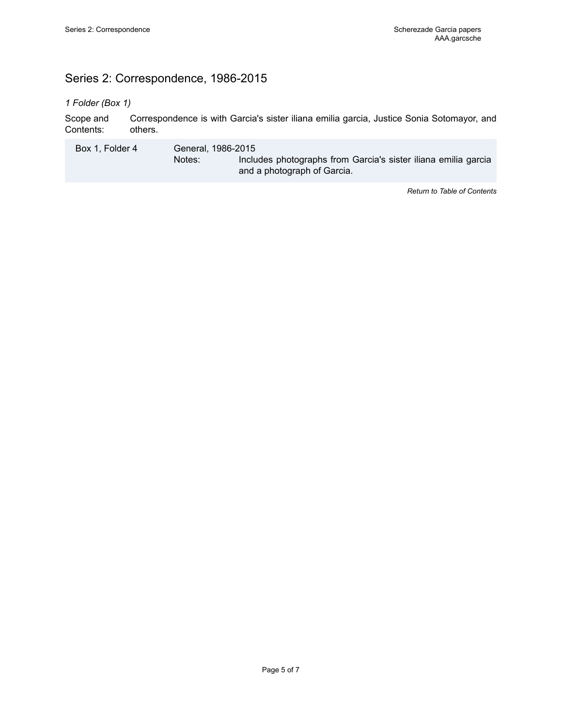# <span id="page-6-0"></span>Series 2: Correspondence, 1986-2015

#### *1 Folder (Box 1)*

Scope and Contents: Correspondence is with Garcia's sister iliana emilia garcia, Justice Sonia Sotomayor, and others.

Box 1, Folder 4 General, 1986-2015 Notes: Includes photographs from Garcia's sister iliana emilia garcia and a photograph of Garcia.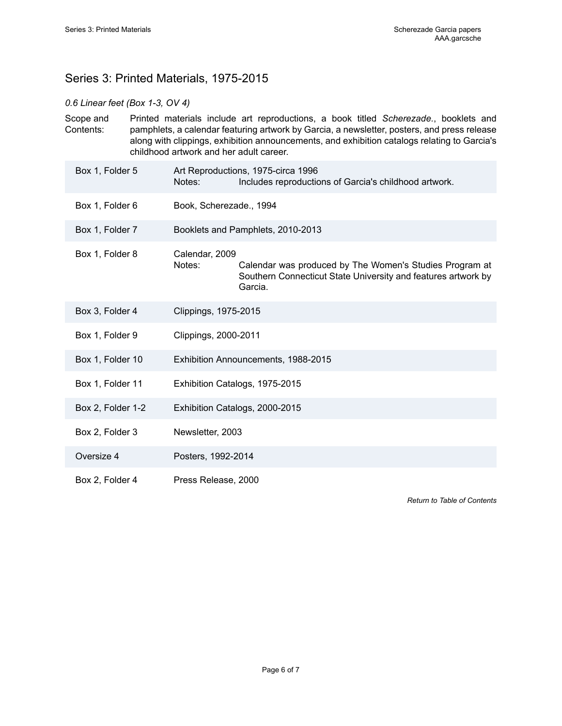# <span id="page-7-0"></span>Series 3: Printed Materials, 1975-2015

## *0.6 Linear feet (Box 1-3, OV 4)*

| Scope and | Printed materials include art reproductions, a book titled Scherezade., booklets and                                                    |
|-----------|-----------------------------------------------------------------------------------------------------------------------------------------|
| Contents: | pamphlets, a calendar featuring artwork by Garcia, a newsletter, posters, and press release                                             |
|           | along with clippings, exhibition announcements, and exhibition catalogs relating to Garcia's<br>childhood artwork and her adult career. |
|           |                                                                                                                                         |

| Box 1, Folder 5   | Notes:                   | Art Reproductions, 1975-circa 1996<br>Includes reproductions of Garcia's childhood artwork.                                         |
|-------------------|--------------------------|-------------------------------------------------------------------------------------------------------------------------------------|
| Box 1, Folder 6   | Book, Scherezade., 1994  |                                                                                                                                     |
| Box 1, Folder 7   |                          | Booklets and Pamphlets, 2010-2013                                                                                                   |
| Box 1, Folder 8   | Calendar, 2009<br>Notes: | Calendar was produced by The Women's Studies Program at<br>Southern Connecticut State University and features artwork by<br>Garcia. |
| Box 3, Folder 4   | Clippings, 1975-2015     |                                                                                                                                     |
| Box 1, Folder 9   | Clippings, 2000-2011     |                                                                                                                                     |
| Box 1, Folder 10  |                          | Exhibition Announcements, 1988-2015                                                                                                 |
| Box 1, Folder 11  |                          | Exhibition Catalogs, 1975-2015                                                                                                      |
| Box 2, Folder 1-2 |                          | Exhibition Catalogs, 2000-2015                                                                                                      |
| Box 2, Folder 3   | Newsletter, 2003         |                                                                                                                                     |
| Oversize 4        | Posters, 1992-2014       |                                                                                                                                     |
| Box 2, Folder 4   | Press Release, 2000      |                                                                                                                                     |